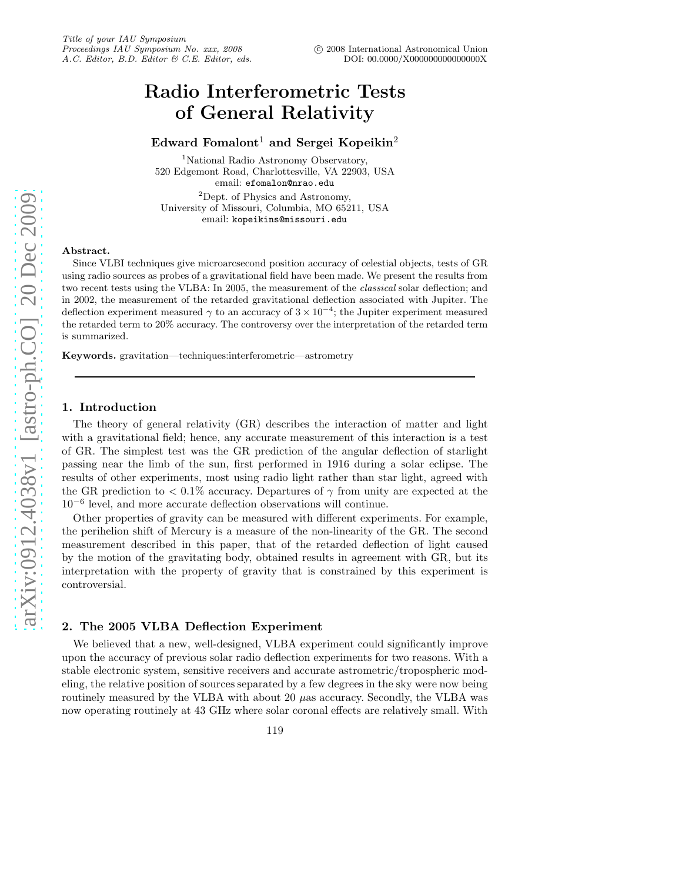# Radio Interferometric Tests of General Relativity

# Edward Fomalont<sup>1</sup> and Sergei Kopeikin<sup>2</sup>

<sup>1</sup>National Radio Astronomy Observatory, 520 Edgemont Road, Charlottesville, VA 22903, USA email: efomalon@nrao.edu

<sup>2</sup>Dept. of Physics and Astronomy, University of Missouri, Columbia, MO 65211, USA email: kopeikins@missouri.edu

# Abstract.

Since VLBI techniques give microarcsecond position accuracy of celestial objects, tests of GR using radio sources as probes of a gravitational field have been made. We present the results from two recent tests using the VLBA: In 2005, the measurement of the *classical* solar deflection; and in 2002, the measurement of the retarded gravitational deflection associated with Jupiter. The deflection experiment measured  $\gamma$  to an accuracy of  $3 \times 10^{-4}$ ; the Jupiter experiment measured the retarded term to 20% accuracy. The controversy over the interpretation of the retarded term is summarized.

Keywords. gravitation—techniques:interferometric—astrometry

#### 1. Introduction

The theory of general relativity (GR) describes the interaction of matter and light with a gravitational field; hence, any accurate measurement of this interaction is a test of GR. The simplest test was the GR prediction of the angular deflection of starlight passing near the limb of the sun, first performed in 1916 during a solar eclipse. The results of other experiments, most using radio light rather than star light, agreed with the GR prediction to  $\langle 0.1\%$  accuracy. Departures of  $\gamma$  from unity are expected at the 10<sup>−</sup><sup>6</sup> level, and more accurate deflection observations will continue.

Other properties of gravity can be measured with different experiments. For example, the perihelion shift of Mercury is a measure of the non-linearity of the GR. The second measurement described in this paper, that of the retarded deflection of light caused by the motion of the gravitating body, obtained results in agreement with GR, but its interpretation with the property of gravity that is constrained by this experiment is controversial.

# 2. The 2005 VLBA Deflection Experiment

We believed that a new, well-designed, VLBA experiment could significantly improve upon the accuracy of previous solar radio deflection experiments for two reasons. With a stable electronic system, sensitive receivers and accurate astrometric/tropospheric modeling, the relative position of sources separated by a few degrees in the sky were now being routinely measured by the VLBA with about 20  $\mu$ as accuracy. Secondly, the VLBA was now operating routinely at 43 GHz where solar coronal effects are relatively small. With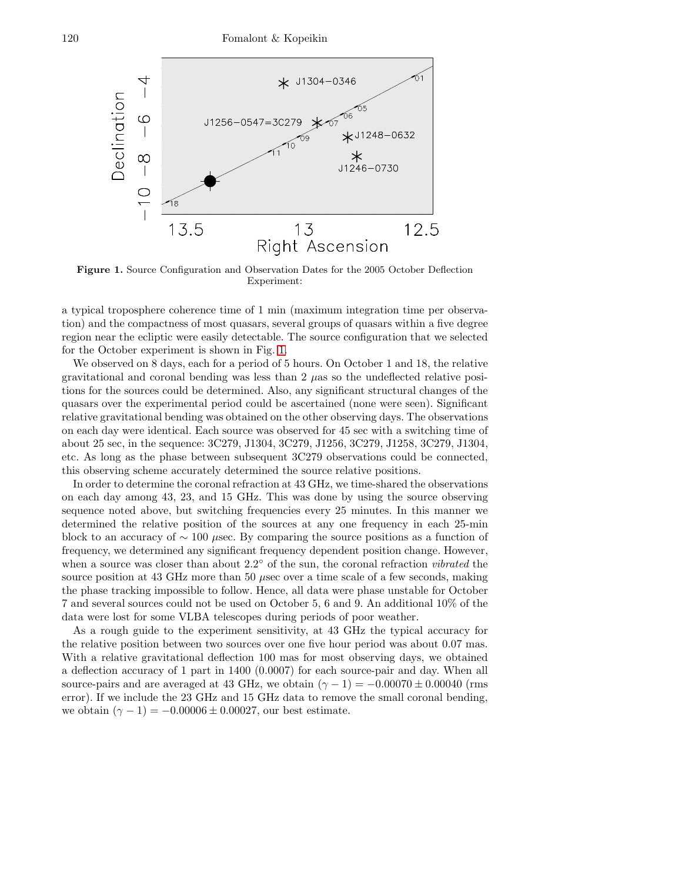

<span id="page-1-0"></span>Figure 1. Source Configuration and Observation Dates for the 2005 October Deflection Experiment:

a typical troposphere coherence time of 1 min (maximum integration time per observation) and the compactness of most quasars, several groups of quasars within a five degree region near the ecliptic were easily detectable. The source configuration that we selected for the October experiment is shown in Fig. [1.](#page-1-0)

We observed on 8 days, each for a period of 5 hours. On October 1 and 18, the relative gravitational and coronal bending was less than  $2 \mu$ as so the undeflected relative positions for the sources could be determined. Also, any significant structural changes of the quasars over the experimental period could be ascertained (none were seen). Significant relative gravitational bending was obtained on the other observing days. The observations on each day were identical. Each source was observed for 45 sec with a switching time of about 25 sec, in the sequence: 3C279, J1304, 3C279, J1256, 3C279, J1258, 3C279, J1304, etc. As long as the phase between subsequent 3C279 observations could be connected, this observing scheme accurately determined the source relative positions.

In order to determine the coronal refraction at 43 GHz, we time-shared the observations on each day among 43, 23, and 15 GHz. This was done by using the source observing sequence noted above, but switching frequencies every 25 minutes. In this manner we determined the relative position of the sources at any one frequency in each 25-min block to an accuracy of  $\sim 100$  µsec. By comparing the source positions as a function of frequency, we determined any significant frequency dependent position change. However, when a source was closer than about 2.2° of the sun, the coronal refraction *vibrated* the source position at 43 GHz more than 50 µsec over a time scale of a few seconds, making the phase tracking impossible to follow. Hence, all data were phase unstable for October 7 and several sources could not be used on October 5, 6 and 9. An additional 10% of the data were lost for some VLBA telescopes during periods of poor weather.

As a rough guide to the experiment sensitivity, at 43 GHz the typical accuracy for the relative position between two sources over one five hour period was about 0.07 mas. With a relative gravitational deflection 100 mas for most observing days, we obtained a deflection accuracy of 1 part in 1400 (0.0007) for each source-pair and day. When all source-pairs and are averaged at 43 GHz, we obtain  $(\gamma - 1) = -0.00070 \pm 0.00040$  (rms error). If we include the 23 GHz and 15 GHz data to remove the small coronal bending, we obtain  $(\gamma - 1) = -0.00006 \pm 0.00027$ , our best estimate.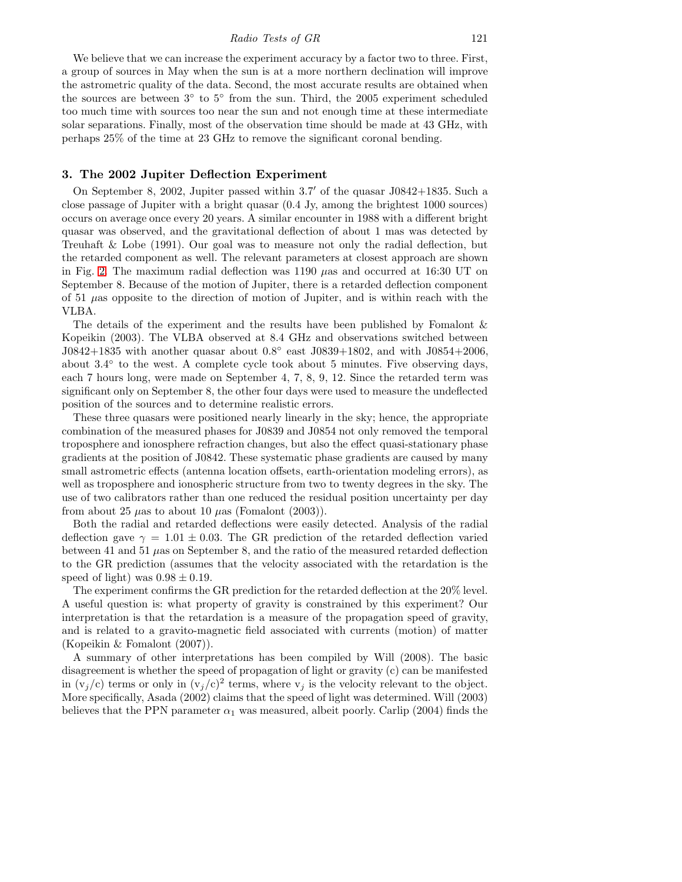We believe that we can increase the experiment accuracy by a factor two to three. First, a group of sources in May when the sun is at a more northern declination will improve the astrometric quality of the data. Second, the most accurate results are obtained when the sources are between 3◦ to 5◦ from the sun. Third, the 2005 experiment scheduled too much time with sources too near the sun and not enough time at these intermediate solar separations. Finally, most of the observation time should be made at 43 GHz, with perhaps 25% of the time at 23 GHz to remove the significant coronal bending.

### 3. The 2002 Jupiter Deflection Experiment

On September 8, 2002, Jupiter passed within 3.7 ′ of the quasar J0842+1835. Such a close passage of Jupiter with a bright quasar (0.4 Jy, among the brightest 1000 sources) occurs on average once every 20 years. A similar encounter in 1988 with a different bright quasar was observed, and the gravitational deflection of about 1 mas was detected by Treuhaft & Lobe (1991). Our goal was to measure not only the radial deflection, but the retarded component as well. The relevant parameters at closest approach are shown in Fig. [2.](#page-3-0) The maximum radial deflection was  $1190 \mu$ as and occurred at 16:30 UT on September 8. Because of the motion of Jupiter, there is a retarded deflection component of 51  $\mu$ as opposite to the direction of motion of Jupiter, and is within reach with the VLBA.

The details of the experiment and the results have been published by Fomalont & Kopeikin (2003). The VLBA observed at 8.4 GHz and observations switched between J0842+1835 with another quasar about  $0.8^{\circ}$  east J0839+1802, and with J0854+2006, about 3.4° to the west. A complete cycle took about 5 minutes. Five observing days, each 7 hours long, were made on September 4, 7, 8, 9, 12. Since the retarded term was significant only on September 8, the other four days were used to measure the undeflected position of the sources and to determine realistic errors.

These three quasars were positioned nearly linearly in the sky; hence, the appropriate combination of the measured phases for J0839 and J0854 not only removed the temporal troposphere and ionosphere refraction changes, but also the effect quasi-stationary phase gradients at the position of J0842. These systematic phase gradients are caused by many small astrometric effects (antenna location offsets, earth-orientation modeling errors), as well as troposphere and ionospheric structure from two to twenty degrees in the sky. The use of two calibrators rather than one reduced the residual position uncertainty per day from about 25  $\mu$ as to about 10  $\mu$ as (Fomalont (2003)).

Both the radial and retarded deflections were easily detected. Analysis of the radial deflection gave  $\gamma = 1.01 \pm 0.03$ . The GR prediction of the retarded deflection varied between 41 and 51  $\mu$ as on September 8, and the ratio of the measured retarded deflection to the GR prediction (assumes that the velocity associated with the retardation is the speed of light) was  $0.98 \pm 0.19$ .

The experiment confirms the GR prediction for the retarded deflection at the 20% level. A useful question is: what property of gravity is constrained by this experiment? Our interpretation is that the retardation is a measure of the propagation speed of gravity, and is related to a gravito-magnetic field associated with currents (motion) of matter (Kopeikin & Fomalont (2007)).

A summary of other interpretations has been compiled by Will (2008). The basic disagreement is whether the speed of propagation of light or gravity (c) can be manifested in  $(v_j/c)$  terms or only in  $(v_j/c)^2$  terms, where  $v_j$  is the velocity relevant to the object. More specifically, Asada (2002) claims that the speed of light was determined. Will (2003) believes that the PPN parameter  $\alpha_1$  was measured, albeit poorly. Carlip (2004) finds the